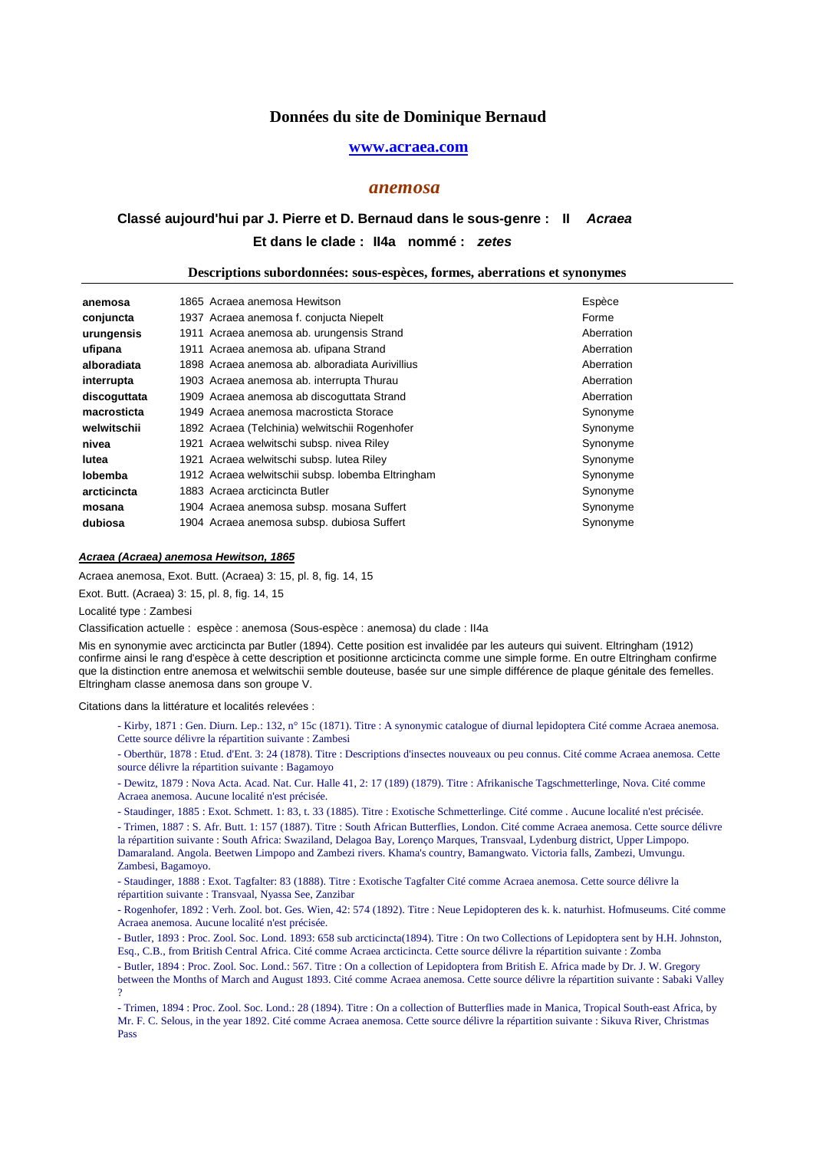### **www.acraea.com**

### *anemosa*

# Et dans le clade : II4a nommé : zetes **Classé aujourd'hui par J. Pierre et D. Bernaud dans le sous-genre : II Acraea**

#### **Descriptions subordonnées: sous-espèces, formes, aberrations et synonymes**

| anemosa      | 1865 Acraea anemosa Hewitson                      | Espèce     |
|--------------|---------------------------------------------------|------------|
| conjuncta    | 1937 Acraea anemosa f. conjucta Niepelt           | Forme      |
| urungensis   | 1911 Acraea anemosa ab. urungensis Strand         | Aberration |
| ufipana      | 1911 Acraea anemosa ab. ufipana Strand            | Aberration |
| alboradiata  | 1898 Acraea anemosa ab. alboradiata Aurivillius   | Aberration |
| interrupta   | 1903 Acraea anemosa ab. interrupta Thurau         | Aberration |
| discoguttata | 1909 Acraea anemosa ab discoguttata Strand        | Aberration |
| macrosticta  | 1949 Acraea anemosa macrosticta Storace           | Synonyme   |
| welwitschii  | 1892 Acraea (Telchinia) welwitschii Rogenhofer    | Synonyme   |
| nivea        | 1921 Acraea welwitschi subsp. nivea Riley         | Synonyme   |
| lutea        | 1921 Acraea welwitschi subsp. lutea Riley         | Synonyme   |
| lobemba      | 1912 Acraea welwitschii subsp. lobemba Eltringham | Synonyme   |
| arcticincta  | 1883 Acraea arcticincta Butler                    | Synonyme   |
| mosana       | 1904 Acraea anemosa subsp. mosana Suffert         | Synonyme   |
| dubiosa      | 1904 Acraea anemosa subsp. dubiosa Suffert        | Synonyme   |

## **Acraea (Acraea) anemosa Hewitson, 1865**

Acraea anemosa, Exot. Butt. (Acraea) 3: 15, pl. 8, fig. 14, 15

Exot. Butt. (Acraea) 3: 15, pl. 8, fig. 14, 15

Localité type : Zambesi

Classification actuelle : espèce : anemosa (Sous-espèce : anemosa) du clade : II4a

Mis en synonymie avec arcticincta par Butler (1894). Cette position est invalidée par les auteurs qui suivent. Eltringham (1912) confirme ainsi le rang d'espèce à cette description et positionne arcticincta comme une simple forme. En outre Eltringham confirme que la distinction entre anemosa et welwitschii semble douteuse, basée sur une simple différence de plaque génitale des femelles. Eltringham classe anemosa dans son groupe V.

Citations dans la littérature et localités relevées :

- Kirby, 1871 : Gen. Diurn. Lep.: 132, n° 15c (1871). Titre : A synonymic catalogue of diurnal lepidoptera Cité comme Acraea anemosa. Cette source délivre la répartition suivante : Zambesi

- Oberthür, 1878 : Etud. d'Ent. 3: 24 (1878). Titre : Descriptions d'insectes nouveaux ou peu connus. Cité comme Acraea anemosa. Cette source délivre la répartition suivante : Bagamoyo

- Dewitz, 1879 : Nova Acta. Acad. Nat. Cur. Halle 41, 2: 17 (189) (1879). Titre : Afrikanische Tagschmetterlinge, Nova. Cité comme Acraea anemosa. Aucune localité n'est précisée.

- Staudinger, 1885 : Exot. Schmett. 1: 83, t. 33 (1885). Titre : Exotische Schmetterlinge. Cité comme . Aucune localité n'est précisée.

- Trimen, 1887 : S. Afr. Butt. 1: 157 (1887). Titre : South African Butterflies, London. Cité comme Acraea anemosa. Cette source délivre la répartition suivante : South Africa: Swaziland, Delagoa Bay, Lorenço Marques, Transvaal, Lydenburg district, Upper Limpopo. Damaraland. Angola. Beetwen Limpopo and Zambezi rivers. Khama's country, Bamangwato. Victoria falls, Zambezi, Umvungu. Zambesi, Bagamoyo.

- Staudinger, 1888 : Exot. Tagfalter: 83 (1888). Titre : Exotische Tagfalter Cité comme Acraea anemosa. Cette source délivre la répartition suivante : Transvaal, Nyassa See, Zanzibar

- Rogenhofer, 1892 : Verh. Zool. bot. Ges. Wien, 42: 574 (1892). Titre : Neue Lepidopteren des k. k. naturhist. Hofmuseums. Cité comme Acraea anemosa. Aucune localité n'est précisée.

- Butler, 1893 : Proc. Zool. Soc. Lond. 1893: 658 sub arcticincta(1894). Titre : On two Collections of Lepidoptera sent by H.H. Johnston, Esq., C.B., from British Central Africa. Cité comme Acraea arcticincta. Cette source délivre la répartition suivante : Zomba

- Butler, 1894 : Proc. Zool. Soc. Lond.: 567. Titre : On a collection of Lepidoptera from British E. Africa made by Dr. J. W. Gregory between the Months of March and August 1893. Cité comme Acraea anemosa. Cette source délivre la répartition suivante : Sabaki Valley ?

- Trimen, 1894 : Proc. Zool. Soc. Lond.: 28 (1894). Titre : On a collection of Butterflies made in Manica, Tropical South-east Africa, by Mr. F. C. Selous, in the year 1892. Cité comme Acraea anemosa. Cette source délivre la répartition suivante : Sikuva River, Christmas Pass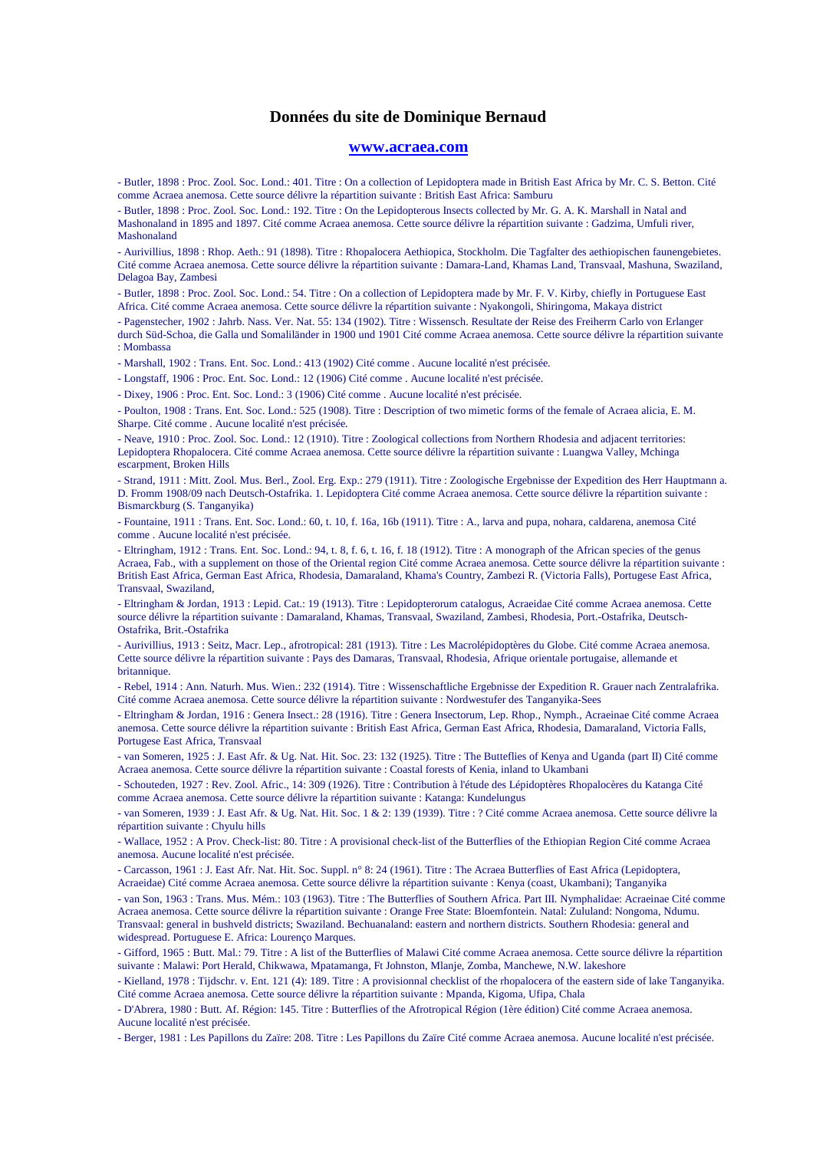#### **www.acraea.com**

- Butler, 1898 : Proc. Zool. Soc. Lond.: 401. Titre : On a collection of Lepidoptera made in British East Africa by Mr. C. S. Betton. Cité comme Acraea anemosa. Cette source délivre la répartition suivante : British East Africa: Samburu

- Butler, 1898 : Proc. Zool. Soc. Lond.: 192. Titre : On the Lepidopterous Insects collected by Mr. G. A. K. Marshall in Natal and Mashonaland in 1895 and 1897. Cité comme Acraea anemosa. Cette source délivre la répartition suivante : Gadzima, Umfuli river, Mashonaland

- Aurivillius, 1898 : Rhop. Aeth.: 91 (1898). Titre : Rhopalocera Aethiopica, Stockholm. Die Tagfalter des aethiopischen faunengebietes. Cité comme Acraea anemosa. Cette source délivre la répartition suivante : Damara-Land, Khamas Land, Transvaal, Mashuna, Swaziland, Delagoa Bay, Zambesi

- Butler, 1898 : Proc. Zool. Soc. Lond.: 54. Titre : On a collection of Lepidoptera made by Mr. F. V. Kirby, chiefly in Portuguese East Africa. Cité comme Acraea anemosa. Cette source délivre la répartition suivante : Nyakongoli, Shiringoma, Makaya district

- Pagenstecher, 1902 : Jahrb. Nass. Ver. Nat. 55: 134 (1902). Titre : Wissensch. Resultate der Reise des Freiherrn Carlo von Erlanger durch Süd-Schoa, die Galla und Somaliländer in 1900 und 1901 Cité comme Acraea anemosa. Cette source délivre la répartition suivante : Mombassa

- Marshall, 1902 : Trans. Ent. Soc. Lond.: 413 (1902) Cité comme . Aucune localité n'est précisée.

- Longstaff, 1906 : Proc. Ent. Soc. Lond.: 12 (1906) Cité comme . Aucune localité n'est précisée.

- Dixey, 1906 : Proc. Ent. Soc. Lond.: 3 (1906) Cité comme . Aucune localité n'est précisée.

- Poulton, 1908 : Trans. Ent. Soc. Lond.: 525 (1908). Titre : Description of two mimetic forms of the female of Acraea alicia, E. M. Sharpe. Cité comme . Aucune localité n'est précisée.

- Neave, 1910 : Proc. Zool. Soc. Lond.: 12 (1910). Titre : Zoological collections from Northern Rhodesia and adjacent territories: Lepidoptera Rhopalocera. Cité comme Acraea anemosa. Cette source délivre la répartition suivante : Luangwa Valley, Mchinga escarpment, Broken Hills

- Strand, 1911 : Mitt. Zool. Mus. Berl., Zool. Erg. Exp.: 279 (1911). Titre : Zoologische Ergebnisse der Expedition des Herr Hauptmann a. D. Fromm 1908/09 nach Deutsch-Ostafrika. 1. Lepidoptera Cité comme Acraea anemosa. Cette source délivre la répartition suivante : Bismarckburg (S. Tanganyika)

- Fountaine, 1911 : Trans. Ent. Soc. Lond.: 60, t. 10, f. 16a, 16b (1911). Titre : A., larva and pupa, nohara, caldarena, anemosa Cité comme . Aucune localité n'est précisée.

- Eltringham, 1912 : Trans. Ent. Soc. Lond.: 94, t. 8, f. 6, t. 16, f. 18 (1912). Titre : A monograph of the African species of the genus Acraea, Fab., with a supplement on those of the Oriental region Cité comme Acraea anemosa. Cette source délivre la répartition suivante : British East Africa, German East Africa, Rhodesia, Damaraland, Khama's Country, Zambezi R. (Victoria Falls), Portugese East Africa, Transvaal, Swaziland,

- Eltringham & Jordan, 1913 : Lepid. Cat.: 19 (1913). Titre : Lepidopterorum catalogus, Acraeidae Cité comme Acraea anemosa. Cette source délivre la répartition suivante : Damaraland, Khamas, Transvaal, Swaziland, Zambesi, Rhodesia, Port.-Ostafrika, Deutsch-Ostafrika, Brit.-Ostafrika

- Aurivillius, 1913 : Seitz, Macr. Lep., afrotropical: 281 (1913). Titre : Les Macrolépidoptères du Globe. Cité comme Acraea anemosa. Cette source délivre la répartition suivante : Pays des Damaras, Transvaal, Rhodesia, Afrique orientale portugaise, allemande et britannique.

- Rebel, 1914 : Ann. Naturh. Mus. Wien.: 232 (1914). Titre : Wissenschaftliche Ergebnisse der Expedition R. Grauer nach Zentralafrika. Cité comme Acraea anemosa. Cette source délivre la répartition suivante : Nordwestufer des Tanganyika-Sees

- Eltringham & Jordan, 1916 : Genera Insect.: 28 (1916). Titre : Genera Insectorum, Lep. Rhop., Nymph., Acraeinae Cité comme Acraea anemosa. Cette source délivre la répartition suivante : British East Africa, German East Africa, Rhodesia, Damaraland, Victoria Falls, Portugese East Africa, Transvaal

- van Someren, 1925 : J. East Afr. & Ug. Nat. Hit. Soc. 23: 132 (1925). Titre : The Butteflies of Kenya and Uganda (part II) Cité comme Acraea anemosa. Cette source délivre la répartition suivante : Coastal forests of Kenia, inland to Ukambani

- Schouteden, 1927 : Rev. Zool. Afric., 14: 309 (1926). Titre : Contribution à l'étude des Lépidoptères Rhopalocères du Katanga Cité comme Acraea anemosa. Cette source délivre la répartition suivante : Katanga: Kundelungus

- van Someren, 1939 : J. East Afr. & Ug. Nat. Hit. Soc. 1 & 2: 139 (1939). Titre : ? Cité comme Acraea anemosa. Cette source délivre la répartition suivante : Chyulu hills

- Wallace, 1952 : A Prov. Check-list: 80. Titre : A provisional check-list of the Butterflies of the Ethiopian Region Cité comme Acraea anemosa. Aucune localité n'est précisée.

- Carcasson, 1961 : J. East Afr. Nat. Hit. Soc. Suppl. n° 8: 24 (1961). Titre : The Acraea Butterflies of East Africa (Lepidoptera, Acraeidae) Cité comme Acraea anemosa. Cette source délivre la répartition suivante : Kenya (coast, Ukambani); Tanganyika

- van Son, 1963 : Trans. Mus. Mém.: 103 (1963). Titre : The Butterflies of Southern Africa. Part III. Nymphalidae: Acraeinae Cité comme Acraea anemosa. Cette source délivre la répartition suivante : Orange Free State: Bloemfontein. Natal: Zululand: Nongoma, Ndumu. Transvaal: general in bushveld districts; Swaziland. Bechuanaland: eastern and northern districts. Southern Rhodesia: general and widespread. Portuguese E. Africa: Lourenço Marques.

- Gifford, 1965 : Butt. Mal.: 79. Titre : A list of the Butterflies of Malawi Cité comme Acraea anemosa. Cette source délivre la répartition suivante : Malawi: Port Herald, Chikwawa, Mpatamanga, Ft Johnston, Mlanje, Zomba, Manchewe, N.W. lakeshore

- Kielland, 1978 : Tijdschr. v. Ent. 121 (4): 189. Titre : A provisionnal checklist of the rhopalocera of the eastern side of lake Tanganyika. Cité comme Acraea anemosa. Cette source délivre la répartition suivante : Mpanda, Kigoma, Ufipa, Chala

- D'Abrera, 1980 : Butt. Af. Région: 145. Titre : Butterflies of the Afrotropical Région (1ère édition) Cité comme Acraea anemosa. Aucune localité n'est précisée.

- Berger, 1981 : Les Papillons du Zaïre: 208. Titre : Les Papillons du Zaïre Cité comme Acraea anemosa. Aucune localité n'est précisée.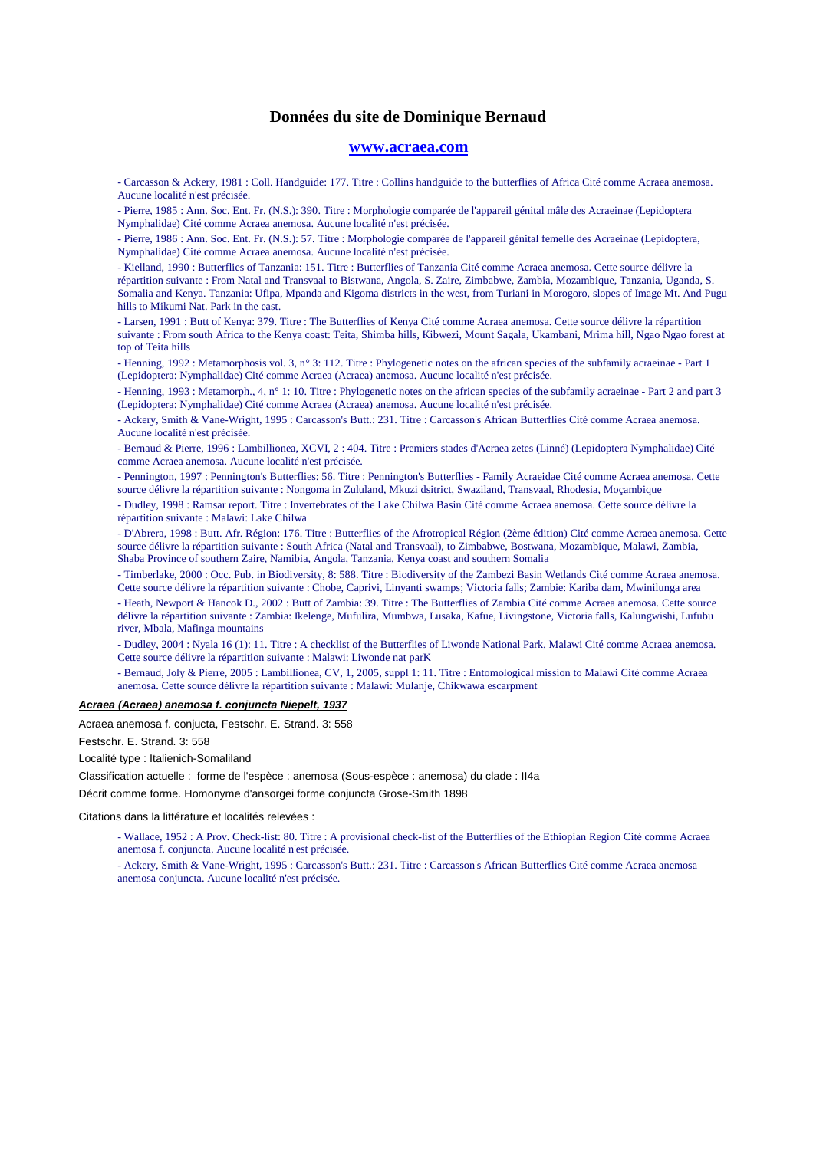#### **www.acraea.com**

- Carcasson & Ackery, 1981 : Coll. Handguide: 177. Titre : Collins handguide to the butterflies of Africa Cité comme Acraea anemosa. Aucune localité n'est précisée.

- Pierre, 1985 : Ann. Soc. Ent. Fr. (N.S.): 390. Titre : Morphologie comparée de l'appareil génital mâle des Acraeinae (Lepidoptera Nymphalidae) Cité comme Acraea anemosa. Aucune localité n'est précisée.

- Pierre, 1986 : Ann. Soc. Ent. Fr. (N.S.): 57. Titre : Morphologie comparée de l'appareil génital femelle des Acraeinae (Lepidoptera, Nymphalidae) Cité comme Acraea anemosa. Aucune localité n'est précisée.

- Kielland, 1990 : Butterflies of Tanzania: 151. Titre : Butterflies of Tanzania Cité comme Acraea anemosa. Cette source délivre la répartition suivante : From Natal and Transvaal to Bistwana, Angola, S. Zaire, Zimbabwe, Zambia, Mozambique, Tanzania, Uganda, S. Somalia and Kenya. Tanzania: Ufipa, Mpanda and Kigoma districts in the west, from Turiani in Morogoro, slopes of Image Mt. And Pugu hills to Mikumi Nat. Park in the east.

- Larsen, 1991 : Butt of Kenya: 379. Titre : The Butterflies of Kenya Cité comme Acraea anemosa. Cette source délivre la répartition suivante : From south Africa to the Kenya coast: Teita, Shimba hills, Kibwezi, Mount Sagala, Ukambani, Mrima hill, Ngao Ngao forest at top of Teita hills

- Henning, 1992 : Metamorphosis vol. 3, n° 3: 112. Titre : Phylogenetic notes on the african species of the subfamily acraeinae - Part 1 (Lepidoptera: Nymphalidae) Cité comme Acraea (Acraea) anemosa. Aucune localité n'est précisée.

- Henning, 1993 : Metamorph., 4, n° 1: 10. Titre : Phylogenetic notes on the african species of the subfamily acraeinae - Part 2 and part 3 (Lepidoptera: Nymphalidae) Cité comme Acraea (Acraea) anemosa. Aucune localité n'est précisée.

- Ackery, Smith & Vane-Wright, 1995 : Carcasson's Butt.: 231. Titre : Carcasson's African Butterflies Cité comme Acraea anemosa. Aucune localité n'est précisée.

- Bernaud & Pierre, 1996 : Lambillionea, XCVI, 2 : 404. Titre : Premiers stades d'Acraea zetes (Linné) (Lepidoptera Nymphalidae) Cité comme Acraea anemosa. Aucune localité n'est précisée.

- Pennington, 1997 : Pennington's Butterflies: 56. Titre : Pennington's Butterflies - Family Acraeidae Cité comme Acraea anemosa. Cette source délivre la répartition suivante : Nongoma in Zululand, Mkuzi dsitrict, Swaziland, Transvaal, Rhodesia, Moçambique

- Dudley, 1998 : Ramsar report. Titre : Invertebrates of the Lake Chilwa Basin Cité comme Acraea anemosa. Cette source délivre la répartition suivante : Malawi: Lake Chilwa

- D'Abrera, 1998 : Butt. Afr. Région: 176. Titre : Butterflies of the Afrotropical Région (2ème édition) Cité comme Acraea anemosa. Cette source délivre la répartition suivante : South Africa (Natal and Transvaal), to Zimbabwe, Bostwana, Mozambique, Malawi, Zambia, Shaba Province of southern Zaire, Namibia, Angola, Tanzania, Kenya coast and southern Somalia

- Timberlake, 2000 : Occ. Pub. in Biodiversity, 8: 588. Titre : Biodiversity of the Zambezi Basin Wetlands Cité comme Acraea anemosa. Cette source délivre la répartition suivante : Chobe, Caprivi, Linyanti swamps; Victoria falls; Zambie: Kariba dam, Mwinilunga area

- Heath, Newport & Hancok D., 2002 : Butt of Zambia: 39. Titre : The Butterflies of Zambia Cité comme Acraea anemosa. Cette source délivre la répartition suivante : Zambia: Ikelenge, Mufulira, Mumbwa, Lusaka, Kafue, Livingstone, Victoria falls, Kalungwishi, Lufubu river, Mbala, Mafinga mountains

- Dudley, 2004 : Nyala 16 (1): 11. Titre : A checklist of the Butterflies of Liwonde National Park, Malawi Cité comme Acraea anemosa. Cette source délivre la répartition suivante : Malawi: Liwonde nat parK

- Bernaud, Joly & Pierre, 2005 : Lambillionea, CV, 1, 2005, suppl 1: 11. Titre : Entomological mission to Malawi Cité comme Acraea anemosa. Cette source délivre la répartition suivante : Malawi: Mulanje, Chikwawa escarpment

### **Acraea (Acraea) anemosa f. conjuncta Niepelt, 1937**

Acraea anemosa f. conjucta, Festschr. E. Strand. 3: 558

Festschr. E. Strand. 3: 558

Localité type : Italienich-Somaliland

Classification actuelle : forme de l'espèce : anemosa (Sous-espèce : anemosa) du clade : II4a

Décrit comme forme. Homonyme d'ansorgei forme conjuncta Grose-Smith 1898

Citations dans la littérature et localités relevées :

- Wallace, 1952 : A Prov. Check-list: 80. Titre : A provisional check-list of the Butterflies of the Ethiopian Region Cité comme Acraea anemosa f. conjuncta. Aucune localité n'est précisée.

- Ackery, Smith & Vane-Wright, 1995 : Carcasson's Butt.: 231. Titre : Carcasson's African Butterflies Cité comme Acraea anemosa anemosa conjuncta. Aucune localité n'est précisée.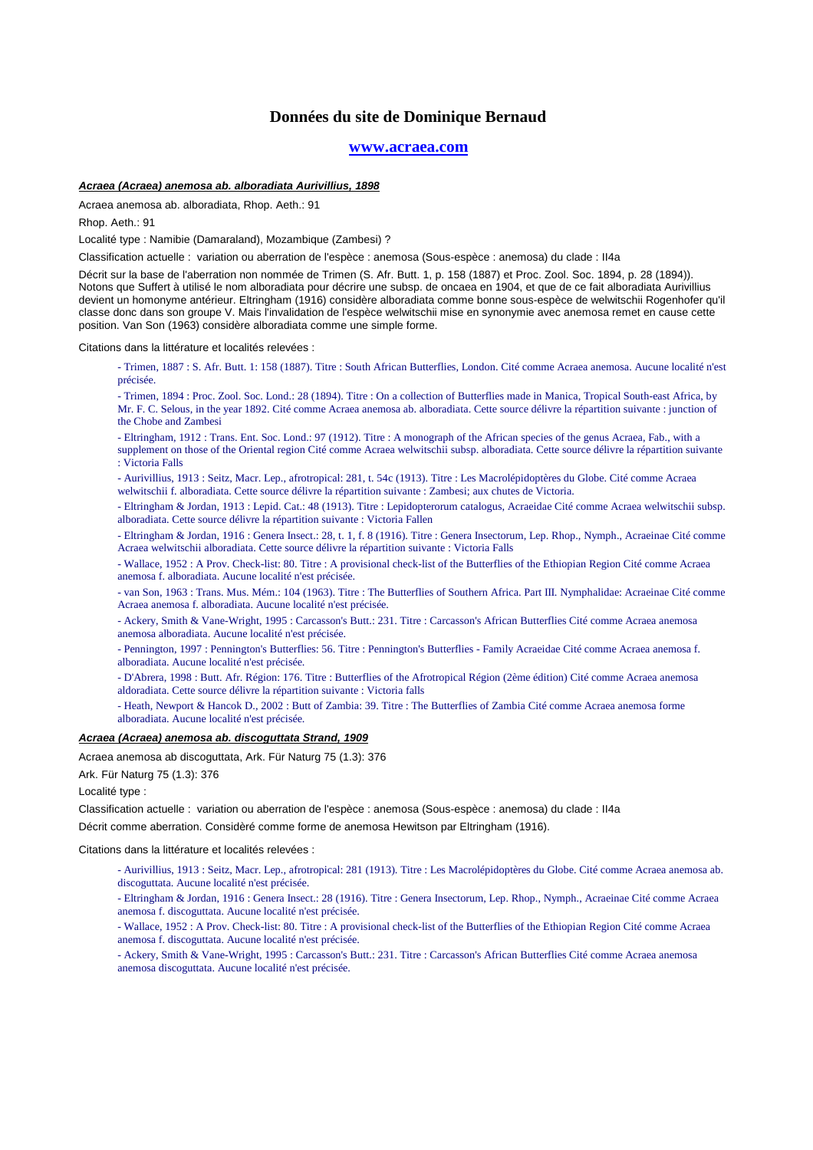#### **www.acraea.com**

### **Acraea (Acraea) anemosa ab. alboradiata Aurivillius, 1898**

Acraea anemosa ab. alboradiata, Rhop. Aeth.: 91

Rhop. Aeth.: 91

Localité type : Namibie (Damaraland), Mozambique (Zambesi) ?

Classification actuelle : variation ou aberration de l'espèce : anemosa (Sous-espèce : anemosa) du clade : II4a

Décrit sur la base de l'aberration non nommée de Trimen (S. Afr. Butt. 1, p. 158 (1887) et Proc. Zool. Soc. 1894, p. 28 (1894)). Notons que Suffert à utilisé le nom alboradiata pour décrire une subsp. de oncaea en 1904, et que de ce fait alboradiata Aurivillius devient un homonyme antérieur. Eltringham (1916) considère alboradiata comme bonne sous-espèce de welwitschii Rogenhofer qu'il classe donc dans son groupe V. Mais l'invalidation de l'espèce welwitschii mise en synonymie avec anemosa remet en cause cette position. Van Son (1963) considère alboradiata comme une simple forme.

Citations dans la littérature et localités relevées :

- Trimen, 1887 : S. Afr. Butt. 1: 158 (1887). Titre : South African Butterflies, London. Cité comme Acraea anemosa. Aucune localité n'est précisée.

- Trimen, 1894 : Proc. Zool. Soc. Lond.: 28 (1894). Titre : On a collection of Butterflies made in Manica, Tropical South-east Africa, by Mr. F. C. Selous, in the year 1892. Cité comme Acraea anemosa ab. alboradiata. Cette source délivre la répartition suivante : junction of the Chobe and Zambesi

- Eltringham, 1912 : Trans. Ent. Soc. Lond.: 97 (1912). Titre : A monograph of the African species of the genus Acraea, Fab., with a supplement on those of the Oriental region Cité comme Acraea welwitschii subsp. alboradiata. Cette source délivre la répartition suivante

: Victoria Falls

- Aurivillius, 1913 : Seitz, Macr. Lep., afrotropical: 281, t. 54c (1913). Titre : Les Macrolépidoptères du Globe. Cité comme Acraea

welwitschii f. alboradiata. Cette source délivre la répartition suivante : Zambesi; aux chutes de Victoria.

- Eltringham & Jordan, 1913 : Lepid. Cat.: 48 (1913). Titre : Lepidopterorum catalogus, Acraeidae Cité comme Acraea welwitschii subsp. alboradiata. Cette source délivre la répartition suivante : Victoria Fallen

- Eltringham & Jordan, 1916 : Genera Insect.: 28, t. 1, f. 8 (1916). Titre : Genera Insectorum, Lep. Rhop., Nymph., Acraeinae Cité comme Acraea welwitschii alboradiata. Cette source délivre la répartition suivante : Victoria Falls

- Wallace, 1952 : A Prov. Check-list: 80. Titre : A provisional check-list of the Butterflies of the Ethiopian Region Cité comme Acraea anemosa f. alboradiata. Aucune localité n'est précisée.

- van Son, 1963 : Trans. Mus. Mém.: 104 (1963). Titre : The Butterflies of Southern Africa. Part III. Nymphalidae: Acraeinae Cité comme Acraea anemosa f. alboradiata. Aucune localité n'est précisée.

- Ackery, Smith & Vane-Wright, 1995 : Carcasson's Butt.: 231. Titre : Carcasson's African Butterflies Cité comme Acraea anemosa anemosa alboradiata. Aucune localité n'est précisée.

- Pennington, 1997 : Pennington's Butterflies: 56. Titre : Pennington's Butterflies - Family Acraeidae Cité comme Acraea anemosa f. alboradiata. Aucune localité n'est précisée.

- D'Abrera, 1998 : Butt. Afr. Région: 176. Titre : Butterflies of the Afrotropical Région (2ème édition) Cité comme Acraea anemosa aldoradiata. Cette source délivre la répartition suivante : Victoria falls

- Heath, Newport & Hancok D., 2002 : Butt of Zambia: 39. Titre : The Butterflies of Zambia Cité comme Acraea anemosa forme alboradiata. Aucune localité n'est précisée.

### **Acraea (Acraea) anemosa ab. discoguttata Strand, 1909**

Acraea anemosa ab discoguttata, Ark. Für Naturg 75 (1.3): 376

Ark. Für Naturg 75 (1.3): 376

Localité type :

Classification actuelle : variation ou aberration de l'espèce : anemosa (Sous-espèce : anemosa) du clade : II4a Décrit comme aberration. Considèré comme forme de anemosa Hewitson par Eltringham (1916).

#### Citations dans la littérature et localités relevées :

- Aurivillius, 1913 : Seitz, Macr. Lep., afrotropical: 281 (1913). Titre : Les Macrolépidoptères du Globe. Cité comme Acraea anemosa ab. discoguttata. Aucune localité n'est précisée.

- Eltringham & Jordan, 1916 : Genera Insect.: 28 (1916). Titre : Genera Insectorum, Lep. Rhop., Nymph., Acraeinae Cité comme Acraea anemosa f. discoguttata. Aucune localité n'est précisée.

- Wallace, 1952 : A Prov. Check-list: 80. Titre : A provisional check-list of the Butterflies of the Ethiopian Region Cité comme Acraea anemosa f. discoguttata. Aucune localité n'est précisée.

- Ackery, Smith & Vane-Wright, 1995 : Carcasson's Butt.: 231. Titre : Carcasson's African Butterflies Cité comme Acraea anemosa anemosa discoguttata. Aucune localité n'est précisée.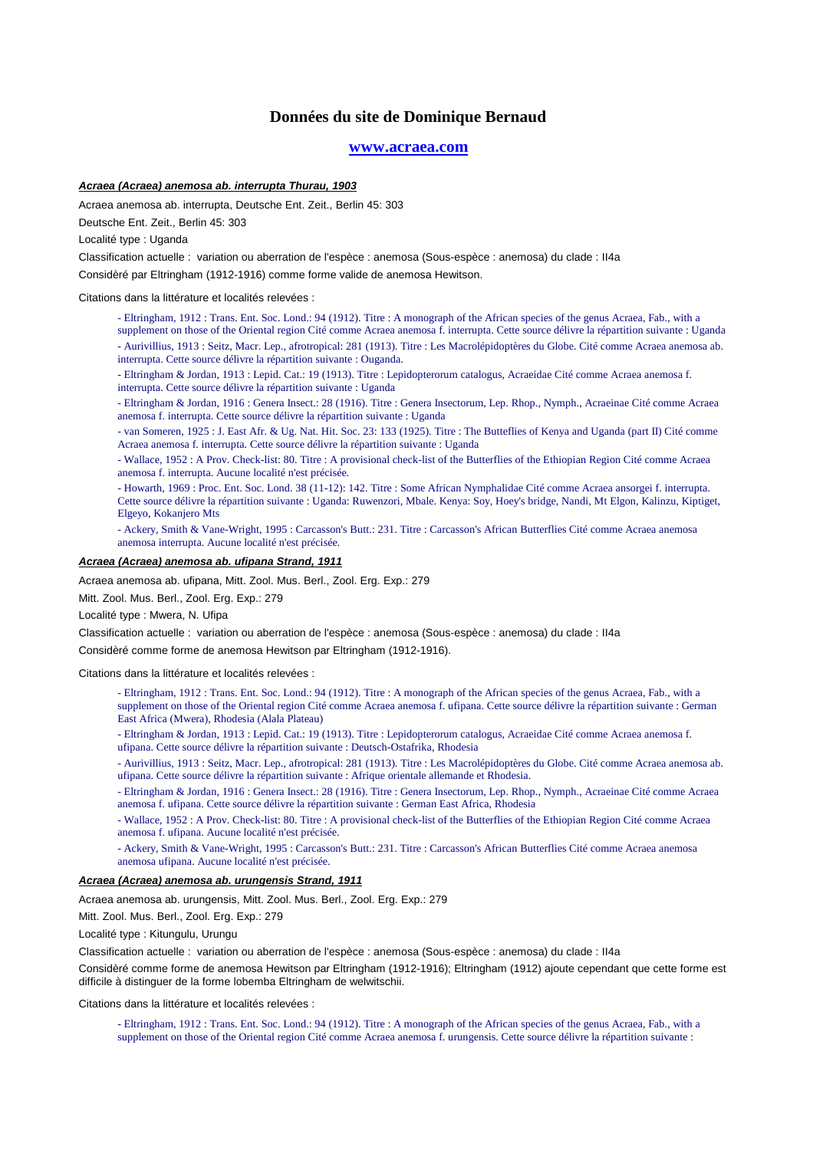#### **www.acraea.com**

### **Acraea (Acraea) anemosa ab. interrupta Thurau, 1903**

Acraea anemosa ab. interrupta, Deutsche Ent. Zeit., Berlin 45: 303

Deutsche Ent. Zeit., Berlin 45: 303

Localité type : Uganda

Classification actuelle : variation ou aberration de l'espèce : anemosa (Sous-espèce : anemosa) du clade : II4a

Considèré par Eltringham (1912-1916) comme forme valide de anemosa Hewitson.

Citations dans la littérature et localités relevées :

- Eltringham, 1912 : Trans. Ent. Soc. Lond.: 94 (1912). Titre : A monograph of the African species of the genus Acraea, Fab., with a supplement on those of the Oriental region Cité comme Acraea anemosa f. interrupta. Cette source délivre la répartition suivante : Uganda

- Aurivillius, 1913 : Seitz, Macr. Lep., afrotropical: 281 (1913). Titre : Les Macrolépidoptères du Globe. Cité comme Acraea anemosa ab. interrupta. Cette source délivre la répartition suivante : Ouganda.

- Eltringham & Jordan, 1913 : Lepid. Cat.: 19 (1913). Titre : Lepidopterorum catalogus, Acraeidae Cité comme Acraea anemosa f.

interrupta. Cette source délivre la répartition suivante : Uganda

- Eltringham & Jordan, 1916 : Genera Insect.: 28 (1916). Titre : Genera Insectorum, Lep. Rhop., Nymph., Acraeinae Cité comme Acraea anemosa f. interrupta. Cette source délivre la répartition suivante : Uganda

- van Someren, 1925 : J. East Afr. & Ug. Nat. Hit. Soc. 23: 133 (1925). Titre : The Butteflies of Kenya and Uganda (part II) Cité comme Acraea anemosa f. interrupta. Cette source délivre la répartition suivante : Uganda

- Wallace, 1952 : A Prov. Check-list: 80. Titre : A provisional check-list of the Butterflies of the Ethiopian Region Cité comme Acraea anemosa f. interrupta. Aucune localité n'est précisée.

- Howarth, 1969 : Proc. Ent. Soc. Lond. 38 (11-12): 142. Titre : Some African Nymphalidae Cité comme Acraea ansorgei f. interrupta. Cette source délivre la répartition suivante : Uganda: Ruwenzori, Mbale. Kenya: Soy, Hoey's bridge, Nandi, Mt Elgon, Kalinzu, Kiptiget, Elgeyo, Kokanjero Mts

- Ackery, Smith & Vane-Wright, 1995 : Carcasson's Butt.: 231. Titre : Carcasson's African Butterflies Cité comme Acraea anemosa anemosa interrupta. Aucune localité n'est précisée.

### **Acraea (Acraea) anemosa ab. ufipana Strand, 1911**

Acraea anemosa ab. ufipana, Mitt. Zool. Mus. Berl., Zool. Erg. Exp.: 279

Mitt. Zool. Mus. Berl., Zool. Erg. Exp.: 279

Localité type : Mwera, N. Ufipa

Classification actuelle : variation ou aberration de l'espèce : anemosa (Sous-espèce : anemosa) du clade : II4a

Considèré comme forme de anemosa Hewitson par Eltringham (1912-1916).

Citations dans la littérature et localités relevées :

- Eltringham, 1912 : Trans. Ent. Soc. Lond.: 94 (1912). Titre : A monograph of the African species of the genus Acraea, Fab., with a supplement on those of the Oriental region Cité comme Acraea anemosa f. ufipana. Cette source délivre la répartition suivante : German East Africa (Mwera), Rhodesia (Alala Plateau)
- Eltringham & Jordan, 1913 : Lepid. Cat.: 19 (1913). Titre : Lepidopterorum catalogus, Acraeidae Cité comme Acraea anemosa f. ufipana. Cette source délivre la répartition suivante : Deutsch-Ostafrika, Rhodesia
- Aurivillius, 1913 : Seitz, Macr. Lep., afrotropical: 281 (1913). Titre : Les Macrolépidoptères du Globe. Cité comme Acraea anemosa ab. ufipana. Cette source délivre la répartition suivante : Afrique orientale allemande et Rhodesia.
- Eltringham & Jordan, 1916 : Genera Insect.: 28 (1916). Titre : Genera Insectorum, Lep. Rhop., Nymph., Acraeinae Cité comme Acraea anemosa f. ufipana. Cette source délivre la répartition suivante : German East Africa, Rhodesia

- Wallace, 1952 : A Prov. Check-list: 80. Titre : A provisional check-list of the Butterflies of the Ethiopian Region Cité comme Acraea anemosa f. ufipana. Aucune localité n'est précisée.

- Ackery, Smith & Vane-Wright, 1995 : Carcasson's Butt.: 231. Titre : Carcasson's African Butterflies Cité comme Acraea anemosa anemosa ufipana. Aucune localité n'est précisée.

#### **Acraea (Acraea) anemosa ab. urungensis Strand, 1911**

Acraea anemosa ab. urungensis, Mitt. Zool. Mus. Berl., Zool. Erg. Exp.: 279

Mitt. Zool. Mus. Berl., Zool. Erg. Exp.: 279

Localité type : Kitungulu, Urungu

Classification actuelle : variation ou aberration de l'espèce : anemosa (Sous-espèce : anemosa) du clade : II4a

Considèré comme forme de anemosa Hewitson par Eltringham (1912-1916); Eltringham (1912) ajoute cependant que cette forme est difficile à distinguer de la forme lobemba Eltringham de welwitschii.

Citations dans la littérature et localités relevées :

- Eltringham, 1912 : Trans. Ent. Soc. Lond.: 94 (1912). Titre : A monograph of the African species of the genus Acraea, Fab., with a supplement on those of the Oriental region Cité comme Acraea anemosa f. urungensis. Cette source délivre la répartition suivante :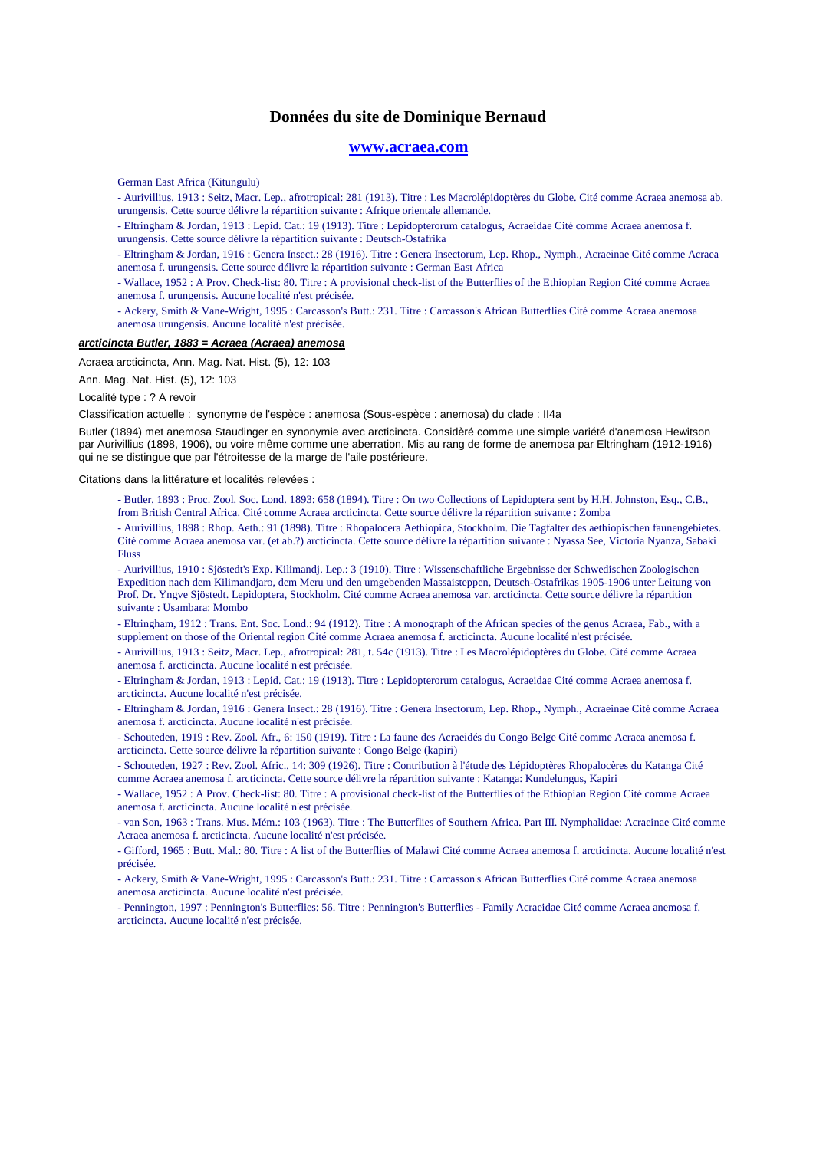#### **www.acraea.com**

German East Africa (Kitungulu)

- Aurivillius, 1913 : Seitz, Macr. Lep., afrotropical: 281 (1913). Titre : Les Macrolépidoptères du Globe. Cité comme Acraea anemosa ab. urungensis. Cette source délivre la répartition suivante : Afrique orientale allemande.

- Eltringham & Jordan, 1913 : Lepid. Cat.: 19 (1913). Titre : Lepidopterorum catalogus, Acraeidae Cité comme Acraea anemosa f. urungensis. Cette source délivre la répartition suivante : Deutsch-Ostafrika

- Eltringham & Jordan, 1916 : Genera Insect.: 28 (1916). Titre : Genera Insectorum, Lep. Rhop., Nymph., Acraeinae Cité comme Acraea anemosa f. urungensis. Cette source délivre la répartition suivante : German East Africa

- Wallace, 1952 : A Prov. Check-list: 80. Titre : A provisional check-list of the Butterflies of the Ethiopian Region Cité comme Acraea anemosa f. urungensis. Aucune localité n'est précisée.

- Ackery, Smith & Vane-Wright, 1995 : Carcasson's Butt.: 231. Titre : Carcasson's African Butterflies Cité comme Acraea anemosa anemosa urungensis. Aucune localité n'est précisée.

#### **arcticincta Butler, 1883 = Acraea (Acraea) anemosa**

Acraea arcticincta, Ann. Mag. Nat. Hist. (5), 12: 103

Ann. Mag. Nat. Hist. (5), 12: 103

Localité type : ? A revoir

Classification actuelle : synonyme de l'espèce : anemosa (Sous-espèce : anemosa) du clade : II4a

Butler (1894) met anemosa Staudinger en synonymie avec arcticincta. Considèré comme une simple variété d'anemosa Hewitson par Aurivillius (1898, 1906), ou voire même comme une aberration. Mis au rang de forme de anemosa par Eltringham (1912-1916) qui ne se distingue que par l'étroitesse de la marge de l'aile postérieure.

Citations dans la littérature et localités relevées :

- Butler, 1893 : Proc. Zool. Soc. Lond. 1893: 658 (1894). Titre : On two Collections of Lepidoptera sent by H.H. Johnston, Esq., C.B., from British Central Africa. Cité comme Acraea arcticincta. Cette source délivre la répartition suivante : Zomba

- Aurivillius, 1898 : Rhop. Aeth.: 91 (1898). Titre : Rhopalocera Aethiopica, Stockholm. Die Tagfalter des aethiopischen faunengebietes. Cité comme Acraea anemosa var. (et ab.?) arcticincta. Cette source délivre la répartition suivante : Nyassa See, Victoria Nyanza, Sabaki Fluss

- Aurivillius, 1910 : Sjöstedt's Exp. Kilimandj. Lep.: 3 (1910). Titre : Wissenschaftliche Ergebnisse der Schwedischen Zoologischen Expedition nach dem Kilimandjaro, dem Meru und den umgebenden Massaisteppen, Deutsch-Ostafrikas 1905-1906 unter Leitung von Prof. Dr. Yngve Sjöstedt. Lepidoptera, Stockholm. Cité comme Acraea anemosa var. arcticincta. Cette source délivre la répartition suivante : Usambara: Mombo

- Eltringham, 1912 : Trans. Ent. Soc. Lond.: 94 (1912). Titre : A monograph of the African species of the genus Acraea, Fab., with a supplement on those of the Oriental region Cité comme Acraea anemosa f. arcticincta. Aucune localité n'est précisée.

- Aurivillius, 1913 : Seitz, Macr. Lep., afrotropical: 281, t. 54c (1913). Titre : Les Macrolépidoptères du Globe. Cité comme Acraea anemosa f. arcticincta. Aucune localité n'est précisée.

- Eltringham & Jordan, 1913 : Lepid. Cat.: 19 (1913). Titre : Lepidopterorum catalogus, Acraeidae Cité comme Acraea anemosa f. arcticincta. Aucune localité n'est précisée.

- Eltringham & Jordan, 1916 : Genera Insect.: 28 (1916). Titre : Genera Insectorum, Lep. Rhop., Nymph., Acraeinae Cité comme Acraea anemosa f. arcticincta. Aucune localité n'est précisée.

- Schouteden, 1919 : Rev. Zool. Afr., 6: 150 (1919). Titre : La faune des Acraeidés du Congo Belge Cité comme Acraea anemosa f. arcticincta. Cette source délivre la répartition suivante : Congo Belge (kapiri)

- Schouteden, 1927 : Rev. Zool. Afric., 14: 309 (1926). Titre : Contribution à l'étude des Lépidoptères Rhopalocères du Katanga Cité comme Acraea anemosa f. arcticincta. Cette source délivre la répartition suivante : Katanga: Kundelungus, Kapiri

- Wallace, 1952 : A Prov. Check-list: 80. Titre : A provisional check-list of the Butterflies of the Ethiopian Region Cité comme Acraea anemosa f. arcticincta. Aucune localité n'est précisée.

- van Son, 1963 : Trans. Mus. Mém.: 103 (1963). Titre : The Butterflies of Southern Africa. Part III. Nymphalidae: Acraeinae Cité comme Acraea anemosa f. arcticincta. Aucune localité n'est précisée.

- Gifford, 1965 : Butt. Mal.: 80. Titre : A list of the Butterflies of Malawi Cité comme Acraea anemosa f. arcticincta. Aucune localité n'est précisée.

- Ackery, Smith & Vane-Wright, 1995 : Carcasson's Butt.: 231. Titre : Carcasson's African Butterflies Cité comme Acraea anemosa anemosa arcticincta. Aucune localité n'est précisée.

- Pennington, 1997 : Pennington's Butterflies: 56. Titre : Pennington's Butterflies - Family Acraeidae Cité comme Acraea anemosa f. arcticincta. Aucune localité n'est précisée.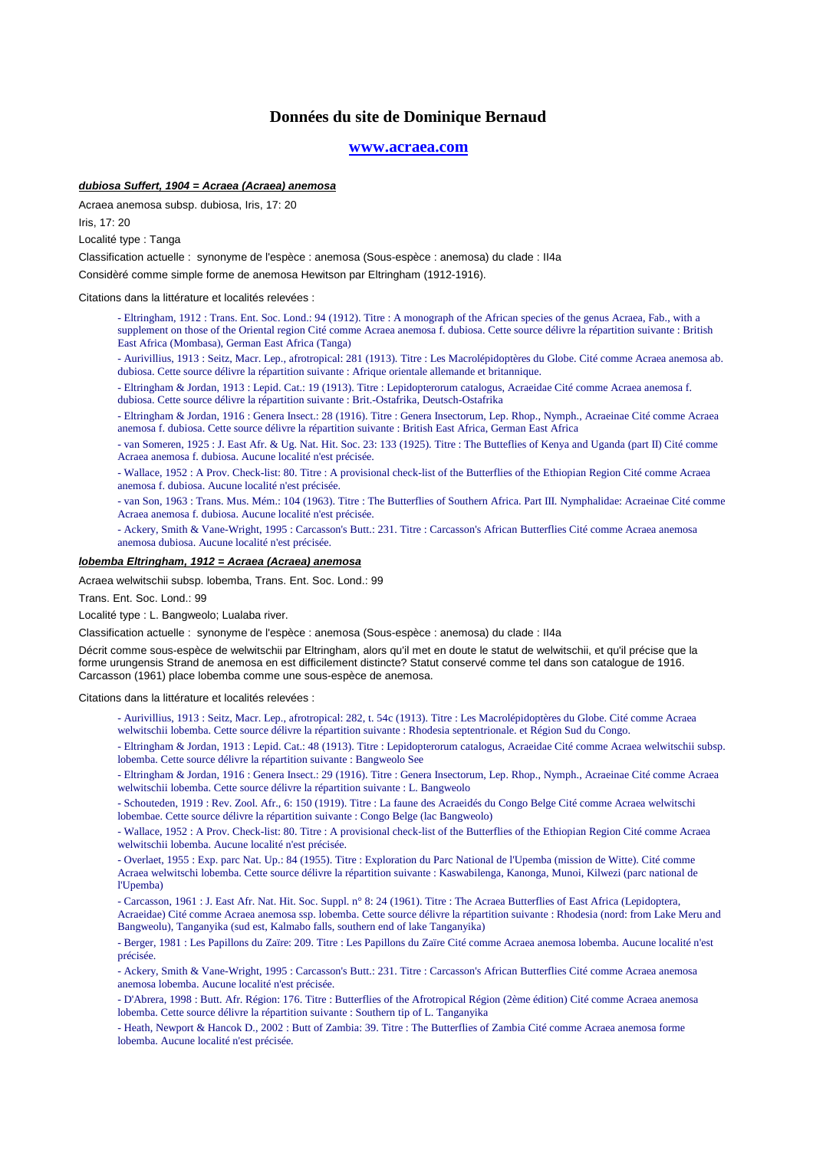#### **www.acraea.com**

### **dubiosa Suffert, 1904 = Acraea (Acraea) anemosa**

Acraea anemosa subsp. dubiosa, Iris, 17: 20

Iris, 17: 20

Localité type : Tanga

Classification actuelle : synonyme de l'espèce : anemosa (Sous-espèce : anemosa) du clade : II4a

Considèré comme simple forme de anemosa Hewitson par Eltringham (1912-1916).

Citations dans la littérature et localités relevées :

- Eltringham, 1912 : Trans. Ent. Soc. Lond.: 94 (1912). Titre : A monograph of the African species of the genus Acraea, Fab., with a supplement on those of the Oriental region Cité comme Acraea anemosa f. dubiosa. Cette source délivre la répartition suivante : British East Africa (Mombasa), German East Africa (Tanga)
- Aurivillius, 1913 : Seitz, Macr. Lep., afrotropical: 281 (1913). Titre : Les Macrolépidoptères du Globe. Cité comme Acraea anemosa ab. dubiosa. Cette source délivre la répartition suivante : Afrique orientale allemande et britannique.
- Eltringham & Jordan, 1913 : Lepid. Cat.: 19 (1913). Titre : Lepidopterorum catalogus, Acraeidae Cité comme Acraea anemosa f. dubiosa. Cette source délivre la répartition suivante : Brit.-Ostafrika, Deutsch-Ostafrika
- Eltringham & Jordan, 1916 : Genera Insect.: 28 (1916). Titre : Genera Insectorum, Lep. Rhop., Nymph., Acraeinae Cité comme Acraea anemosa f. dubiosa. Cette source délivre la répartition suivante : British East Africa, German East Africa
- van Someren, 1925 : J. East Afr. & Ug. Nat. Hit. Soc. 23: 133 (1925). Titre : The Butteflies of Kenya and Uganda (part II) Cité comme Acraea anemosa f. dubiosa. Aucune localité n'est précisée.
- Wallace, 1952 : A Prov. Check-list: 80. Titre : A provisional check-list of the Butterflies of the Ethiopian Region Cité comme Acraea anemosa f. dubiosa. Aucune localité n'est précisée.
- van Son, 1963 : Trans. Mus. Mém.: 104 (1963). Titre : The Butterflies of Southern Africa. Part III. Nymphalidae: Acraeinae Cité comme Acraea anemosa f. dubiosa. Aucune localité n'est précisée.
- Ackery, Smith & Vane-Wright, 1995 : Carcasson's Butt.: 231. Titre : Carcasson's African Butterflies Cité comme Acraea anemosa anemosa dubiosa. Aucune localité n'est précisée.

#### **lobemba Eltringham, 1912 = Acraea (Acraea) anemosa**

Acraea welwitschii subsp. lobemba, Trans. Ent. Soc. Lond.: 99

Trans. Ent. Soc. Lond.: 99

Localité type : L. Bangweolo; Lualaba river.

Classification actuelle : synonyme de l'espèce : anemosa (Sous-espèce : anemosa) du clade : II4a

Décrit comme sous-espèce de welwitschii par Eltringham, alors qu'il met en doute le statut de welwitschii, et qu'il précise que la forme urungensis Strand de anemosa en est difficilement distincte? Statut conservé comme tel dans son catalogue de 1916. Carcasson (1961) place lobemba comme une sous-espèce de anemosa.

Citations dans la littérature et localités relevées :

- Aurivillius, 1913 : Seitz, Macr. Lep., afrotropical: 282, t. 54c (1913). Titre : Les Macrolépidoptères du Globe. Cité comme Acraea welwitschii lobemba. Cette source délivre la répartition suivante : Rhodesia septentrionale. et Région Sud du Congo.
- Eltringham & Jordan, 1913 : Lepid. Cat.: 48 (1913). Titre : Lepidopterorum catalogus, Acraeidae Cité comme Acraea welwitschii subsp. lobemba. Cette source délivre la répartition suivante : Bangweolo See
- Eltringham & Jordan, 1916 : Genera Insect.: 29 (1916). Titre : Genera Insectorum, Lep. Rhop., Nymph., Acraeinae Cité comme Acraea welwitschii lobemba. Cette source délivre la répartition suivante : L. Bangweolo
- Schouteden, 1919 : Rev. Zool. Afr., 6: 150 (1919). Titre : La faune des Acraeidés du Congo Belge Cité comme Acraea welwitschi lobembae. Cette source délivre la répartition suivante : Congo Belge (lac Bangweolo)
- Wallace, 1952 : A Prov. Check-list: 80. Titre : A provisional check-list of the Butterflies of the Ethiopian Region Cité comme Acraea welwitschii lobemba. Aucune localité n'est précisée.
- Overlaet, 1955 : Exp. parc Nat. Up.: 84 (1955). Titre : Exploration du Parc National de l'Upemba (mission de Witte). Cité comme Acraea welwitschi lobemba. Cette source délivre la répartition suivante : Kaswabilenga, Kanonga, Munoi, Kilwezi (parc national de l'Upemba)
- Carcasson, 1961 : J. East Afr. Nat. Hit. Soc. Suppl. n° 8: 24 (1961). Titre : The Acraea Butterflies of East Africa (Lepidoptera, Acraeidae) Cité comme Acraea anemosa ssp. lobemba. Cette source délivre la répartition suivante : Rhodesia (nord: from Lake Meru and Bangweolu), Tanganyika (sud est, Kalmabo falls, southern end of lake Tanganyika)

- Berger, 1981 : Les Papillons du Zaïre: 209. Titre : Les Papillons du Zaïre Cité comme Acraea anemosa lobemba. Aucune localité n'est précisée.

- Ackery, Smith & Vane-Wright, 1995 : Carcasson's Butt.: 231. Titre : Carcasson's African Butterflies Cité comme Acraea anemosa anemosa lobemba. Aucune localité n'est précisée.

- D'Abrera, 1998 : Butt. Afr. Région: 176. Titre : Butterflies of the Afrotropical Région (2ème édition) Cité comme Acraea anemosa lobemba. Cette source délivre la répartition suivante : Southern tip of L. Tanganyika
- Heath, Newport & Hancok D., 2002 : Butt of Zambia: 39. Titre : The Butterflies of Zambia Cité comme Acraea anemosa forme lobemba. Aucune localité n'est précisée.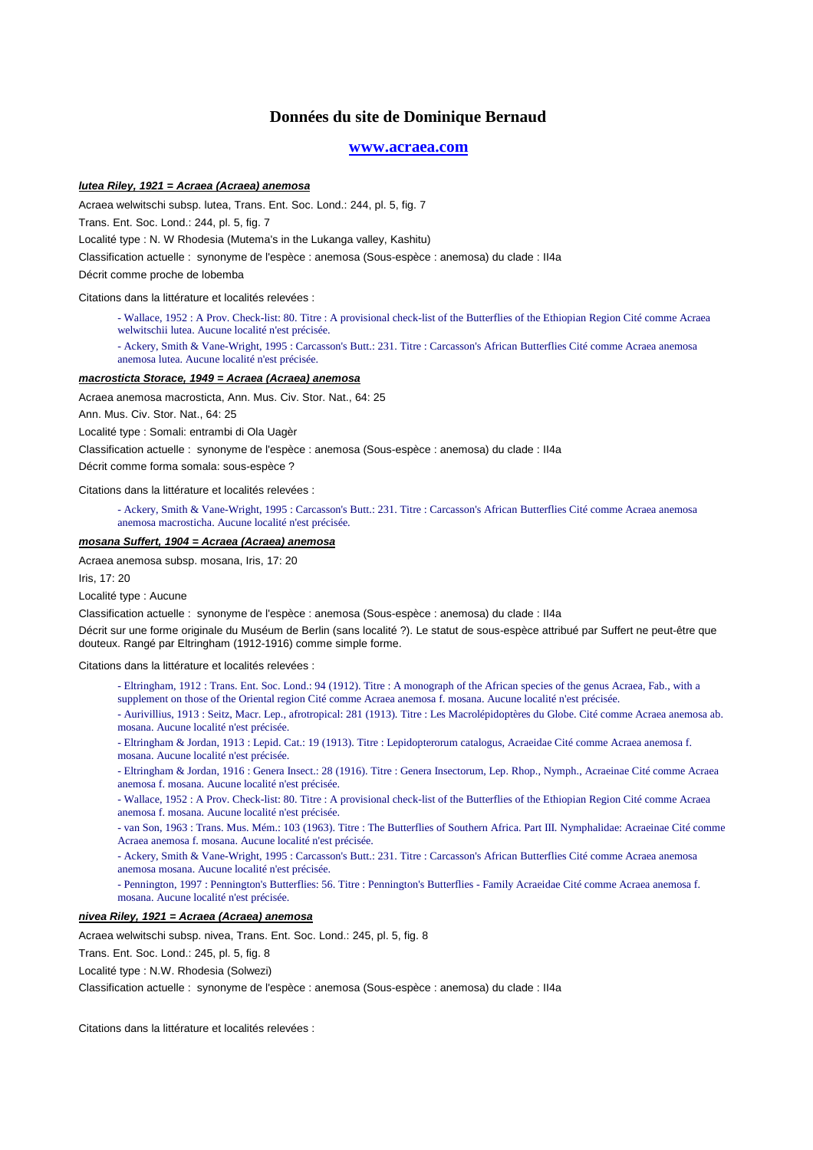#### **www.acraea.com**

#### **lutea Riley, 1921 = Acraea (Acraea) anemosa**

Acraea welwitschi subsp. lutea, Trans. Ent. Soc. Lond.: 244, pl. 5, fig. 7

Trans. Ent. Soc. Lond.: 244, pl. 5, fig. 7

Localité type : N. W Rhodesia (Mutema's in the Lukanga valley, Kashitu)

Classification actuelle : synonyme de l'espèce : anemosa (Sous-espèce : anemosa) du clade : II4a

Décrit comme proche de lobemba

Citations dans la littérature et localités relevées :

- Wallace, 1952 : A Prov. Check-list: 80. Titre : A provisional check-list of the Butterflies of the Ethiopian Region Cité comme Acraea welwitschii lutea. Aucune localité n'est précisée.
- Ackery, Smith & Vane-Wright, 1995 : Carcasson's Butt.: 231. Titre : Carcasson's African Butterflies Cité comme Acraea anemosa anemosa lutea. Aucune localité n'est précisée.

#### **macrosticta Storace, 1949 = Acraea (Acraea) anemosa**

Acraea anemosa macrosticta, Ann. Mus. Civ. Stor. Nat., 64: 25

Ann. Mus. Civ. Stor. Nat., 64: 25

Localité type : Somali: entrambi di Ola Uagèr

Classification actuelle : synonyme de l'espèce : anemosa (Sous-espèce : anemosa) du clade : II4a

Décrit comme forma somala: sous-espèce ?

Citations dans la littérature et localités relevées :

- Ackery, Smith & Vane-Wright, 1995 : Carcasson's Butt.: 231. Titre : Carcasson's African Butterflies Cité comme Acraea anemosa anemosa macrosticha. Aucune localité n'est précisée.

#### **mosana Suffert, 1904 = Acraea (Acraea) anemosa**

Acraea anemosa subsp. mosana, Iris, 17: 20

Iris, 17: 20

#### Localité type : Aucune

Classification actuelle : synonyme de l'espèce : anemosa (Sous-espèce : anemosa) du clade : II4a

Décrit sur une forme originale du Muséum de Berlin (sans localité ?). Le statut de sous-espèce attribué par Suffert ne peut-être que douteux. Rangé par Eltringham (1912-1916) comme simple forme.

Citations dans la littérature et localités relevées :

- Eltringham, 1912 : Trans. Ent. Soc. Lond.: 94 (1912). Titre : A monograph of the African species of the genus Acraea, Fab., with a supplement on those of the Oriental region Cité comme Acraea anemosa f. mosana. Aucune localité n'est précisée.
- Aurivillius, 1913 : Seitz, Macr. Lep., afrotropical: 281 (1913). Titre : Les Macrolépidoptères du Globe. Cité comme Acraea anemosa ab.
- mosana. Aucune localité n'est précisée.

- Eltringham & Jordan, 1913 : Lepid. Cat.: 19 (1913). Titre : Lepidopterorum catalogus, Acraeidae Cité comme Acraea anemosa f. mosana. Aucune localité n'est précisée.

- Eltringham & Jordan, 1916 : Genera Insect.: 28 (1916). Titre : Genera Insectorum, Lep. Rhop., Nymph., Acraeinae Cité comme Acraea anemosa f. mosana. Aucune localité n'est précisée.
- Wallace, 1952 : A Prov. Check-list: 80. Titre : A provisional check-list of the Butterflies of the Ethiopian Region Cité comme Acraea anemosa f. mosana. Aucune localité n'est précisée.
- van Son, 1963 : Trans. Mus. Mém.: 103 (1963). Titre : The Butterflies of Southern Africa. Part III. Nymphalidae: Acraeinae Cité comme Acraea anemosa f. mosana. Aucune localité n'est précisée.
- Ackery, Smith & Vane-Wright, 1995 : Carcasson's Butt.: 231. Titre : Carcasson's African Butterflies Cité comme Acraea anemosa anemosa mosana. Aucune localité n'est précisée.

- Pennington, 1997 : Pennington's Butterflies: 56. Titre : Pennington's Butterflies - Family Acraeidae Cité comme Acraea anemosa f. mosana. Aucune localité n'est précisée.

### **nivea Riley, 1921 = Acraea (Acraea) anemosa**

Acraea welwitschi subsp. nivea, Trans. Ent. Soc. Lond.: 245, pl. 5, fig. 8

Trans. Ent. Soc. Lond.: 245, pl. 5, fig. 8

Localité type : N.W. Rhodesia (Solwezi)

Classification actuelle : synonyme de l'espèce : anemosa (Sous-espèce : anemosa) du clade : II4a

Citations dans la littérature et localités relevées :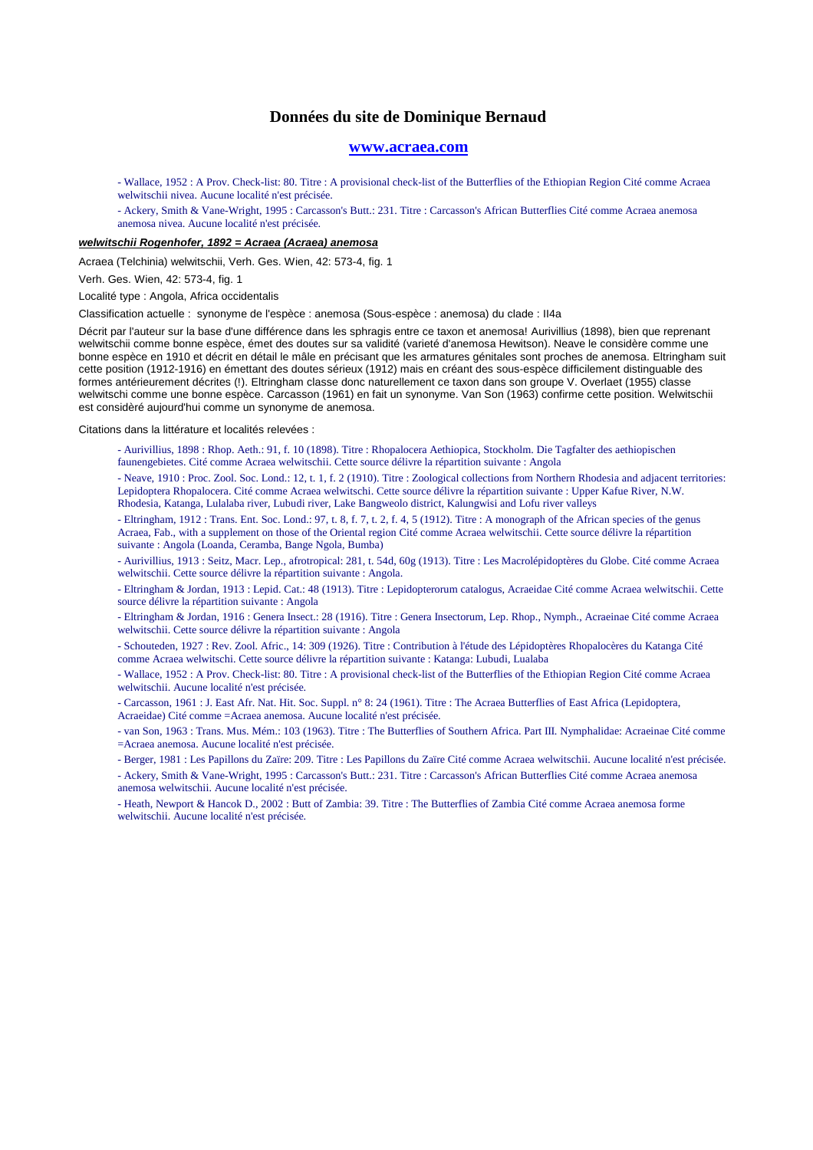#### **www.acraea.com**

- Wallace, 1952 : A Prov. Check-list: 80. Titre : A provisional check-list of the Butterflies of the Ethiopian Region Cité comme Acraea welwitschii nivea. Aucune localité n'est précisée.

- Ackery, Smith & Vane-Wright, 1995 : Carcasson's Butt.: 231. Titre : Carcasson's African Butterflies Cité comme Acraea anemosa anemosa nivea. Aucune localité n'est précisée.

#### **welwitschii Rogenhofer, 1892 = Acraea (Acraea) anemosa**

Acraea (Telchinia) welwitschii, Verh. Ges. Wien, 42: 573-4, fig. 1

Verh. Ges. Wien, 42: 573-4, fig. 1

Localité type : Angola, Africa occidentalis

Classification actuelle : synonyme de l'espèce : anemosa (Sous-espèce : anemosa) du clade : II4a

Décrit par l'auteur sur la base d'une différence dans les sphragis entre ce taxon et anemosa! Aurivillius (1898), bien que reprenant welwitschii comme bonne espèce, émet des doutes sur sa validité (varieté d'anemosa Hewitson). Neave le considère comme une bonne espèce en 1910 et décrit en détail le mâle en précisant que les armatures génitales sont proches de anemosa. Eltringham suit cette position (1912-1916) en émettant des doutes sérieux (1912) mais en créant des sous-espèce difficilement distinguable des formes antérieurement décrites (!). Eltringham classe donc naturellement ce taxon dans son groupe V. Overlaet (1955) classe welwitschi comme une bonne espèce. Carcasson (1961) en fait un synonyme. Van Son (1963) confirme cette position. Welwitschii est considèré aujourd'hui comme un synonyme de anemosa.

Citations dans la littérature et localités relevées :

- Aurivillius, 1898 : Rhop. Aeth.: 91, f. 10 (1898). Titre : Rhopalocera Aethiopica, Stockholm. Die Tagfalter des aethiopischen faunengebietes. Cité comme Acraea welwitschii. Cette source délivre la répartition suivante : Angola

- Neave, 1910 : Proc. Zool. Soc. Lond.: 12, t. 1, f. 2 (1910). Titre : Zoological collections from Northern Rhodesia and adjacent territories: Lepidoptera Rhopalocera. Cité comme Acraea welwitschi. Cette source délivre la répartition suivante : Upper Kafue River, N.W. Rhodesia, Katanga, Lulalaba river, Lubudi river, Lake Bangweolo district, Kalungwisi and Lofu river valleys

- Eltringham, 1912 : Trans. Ent. Soc. Lond.: 97, t. 8, f. 7, t. 2, f. 4, 5 (1912). Titre : A monograph of the African species of the genus Acraea, Fab., with a supplement on those of the Oriental region Cité comme Acraea welwitschii. Cette source délivre la répartition suivante : Angola (Loanda, Ceramba, Bange Ngola, Bumba)

- Aurivillius, 1913 : Seitz, Macr. Lep., afrotropical: 281, t. 54d, 60g (1913). Titre : Les Macrolépidoptères du Globe. Cité comme Acraea welwitschii. Cette source délivre la répartition suivante : Angola.

- Eltringham & Jordan, 1913 : Lepid. Cat.: 48 (1913). Titre : Lepidopterorum catalogus, Acraeidae Cité comme Acraea welwitschii. Cette source délivre la répartition suivante : Angola

- Eltringham & Jordan, 1916 : Genera Insect.: 28 (1916). Titre : Genera Insectorum, Lep. Rhop., Nymph., Acraeinae Cité comme Acraea welwitschii. Cette source délivre la répartition suivante : Angola

- Schouteden, 1927 : Rev. Zool. Afric., 14: 309 (1926). Titre : Contribution à l'étude des Lépidoptères Rhopalocères du Katanga Cité comme Acraea welwitschi. Cette source délivre la répartition suivante : Katanga: Lubudi, Lualaba

- Wallace, 1952 : A Prov. Check-list: 80. Titre : A provisional check-list of the Butterflies of the Ethiopian Region Cité comme Acraea welwitschii. Aucune localité n'est précisée.

- Carcasson, 1961 : J. East Afr. Nat. Hit. Soc. Suppl. n° 8: 24 (1961). Titre : The Acraea Butterflies of East Africa (Lepidoptera, Acraeidae) Cité comme =Acraea anemosa. Aucune localité n'est précisée.

- van Son, 1963 : Trans. Mus. Mém.: 103 (1963). Titre : The Butterflies of Southern Africa. Part III. Nymphalidae: Acraeinae Cité comme =Acraea anemosa. Aucune localité n'est précisée.

- Berger, 1981 : Les Papillons du Zaïre: 209. Titre : Les Papillons du Zaïre Cité comme Acraea welwitschii. Aucune localité n'est précisée. - Ackery, Smith & Vane-Wright, 1995 : Carcasson's Butt.: 231. Titre : Carcasson's African Butterflies Cité comme Acraea anemosa anemosa welwitschii. Aucune localité n'est précisée.

- Heath, Newport & Hancok D., 2002 : Butt of Zambia: 39. Titre : The Butterflies of Zambia Cité comme Acraea anemosa forme welwitschii. Aucune localité n'est précisée.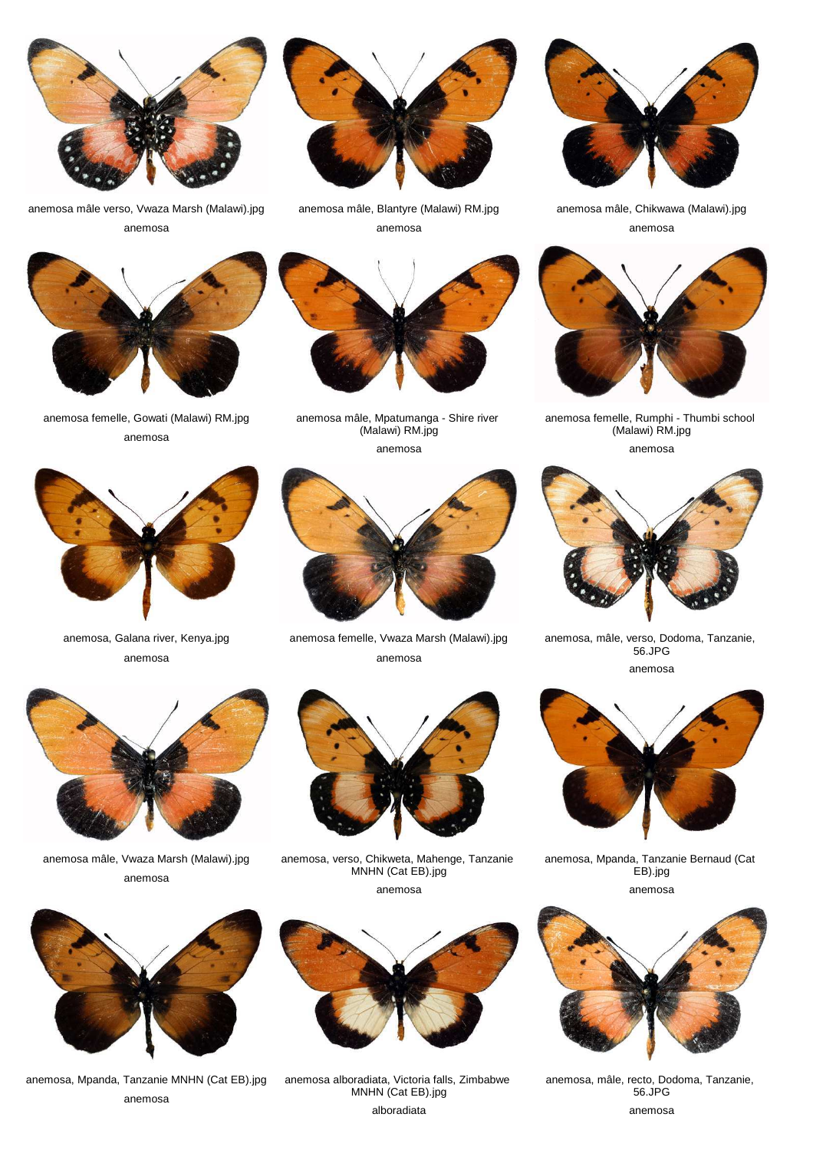

anemosa mâle verso, Vwaza Marsh (Malawi).jpg anemosa



anemosa femelle, Gowati (Malawi) RM.jpg anemosa



anemosa mâle, Blantyre (Malawi) RM.jpg anemosa



anemosa mâle, Mpatumanga - Shire river (Malawi) RM.jpg anemosa



anemosa



anemosa, Galana river, Kenya.jpg anemosa

anemosa mâle, Vwaza Marsh (Malawi).jpg anemosa



anemosa, verso, Chikweta, Mahenge, Tanzanie MNHN (Cat EB).jpg anemosa



anemosa mâle, Chikwawa (Malawi).jpg anemosa



anemosa femelle, Rumphi - Thumbi school (Malawi) RM.jpg anemosa



anemosa, mâle, verso, Dodoma, Tanzanie, 56.JPG anemosa



anemosa, Mpanda, Tanzanie Bernaud (Cat EB).jpg anemosa



anemosa, Mpanda, Tanzanie MNHN (Cat EB).jpg anemosa



anemosa alboradiata, Victoria falls, Zimbabwe MNHN (Cat EB).jpg alboradiata



anemosa, mâle, recto, Dodoma, Tanzanie, 56.JPG anemosa



anemosa femelle, Vwaza Marsh (Malawi).jpg